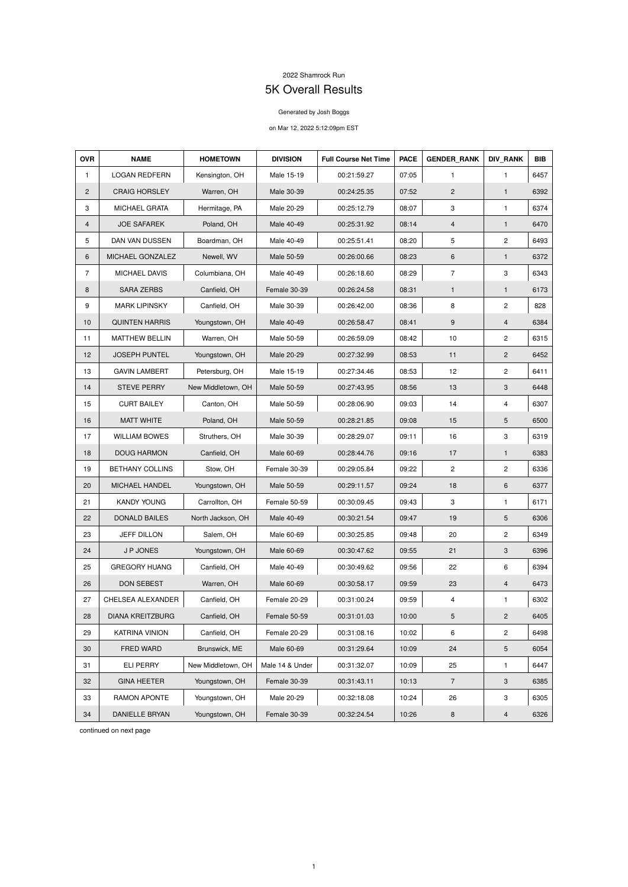## 2022 Shamrock Run

## 5K Overall Results

## Generated by Josh Boggs

## on Mar 12, 2022 5:12:09pm EST

| <b>OVR</b>     | <b>NAME</b>             | <b>HOMETOWN</b>    | <b>DIVISION</b> | <b>Full Course Net Time</b> | <b>PACE</b> | <b>GENDER RANK</b> | <b>DIV RANK</b> | <b>BIB</b> |
|----------------|-------------------------|--------------------|-----------------|-----------------------------|-------------|--------------------|-----------------|------------|
| 1              | <b>LOGAN REDFERN</b>    | Kensington, OH     | Male 15-19      | 00:21:59.27                 | 07:05       | $\mathbf{1}$       | $\mathbf{1}$    | 6457       |
| $\overline{2}$ | <b>CRAIG HORSLEY</b>    | Warren, OH         | Male 30-39      | 00:24:25.35                 | 07:52       | $\mathbf{2}$       | $\mathbf{1}$    | 6392       |
| 3              | MICHAEL GRATA           | Hermitage, PA      | Male 20-29      | 00:25:12.79                 | 08:07       | 3                  | 1               | 6374       |
| 4              | <b>JOE SAFAREK</b>      | Poland, OH         | Male 40-49      | 00:25:31.92                 | 08:14       | $\overline{4}$     | $\mathbf{1}$    | 6470       |
| 5              | DAN VAN DUSSEN          | Boardman, OH       | Male 40-49      | 00:25:51.41                 | 08:20       | 5                  | $\overline{c}$  | 6493       |
| 6              | MICHAEL GONZALEZ        | Newell, WV         | Male 50-59      | 00:26:00.66                 | 08:23       | 6                  | $\mathbf{1}$    | 6372       |
| $\overline{7}$ | MICHAEL DAVIS           | Columbiana, OH     | Male 40-49      | 00:26:18.60                 | 08:29       | $\overline{7}$     | 3               | 6343       |
| 8              | <b>SARA ZERBS</b>       | Canfield, OH       | Female 30-39    | 00:26:24.58                 | 08:31       | $\mathbf{1}$       | $\mathbf{1}$    | 6173       |
| 9              | <b>MARK LIPINSKY</b>    | Canfield, OH       | Male 30-39      | 00:26:42.00                 | 08:36       | 8                  | $\overline{c}$  | 828        |
| 10             | <b>QUINTEN HARRIS</b>   | Youngstown, OH     | Male 40-49      | 00:26:58.47                 | 08:41       | 9                  | $\overline{4}$  | 6384       |
| 11             | <b>MATTHEW BELLIN</b>   | Warren, OH         | Male 50-59      | 00:26:59.09                 | 08:42       | 10                 | $\mathbf{2}$    | 6315       |
| 12             | <b>JOSEPH PUNTEL</b>    | Youngstown, OH     | Male 20-29      | 00:27:32.99                 | 08:53       | 11                 | $\mathbf{2}$    | 6452       |
| 13             | <b>GAVIN LAMBERT</b>    | Petersburg, OH     | Male 15-19      | 00:27:34.46                 | 08:53       | 12                 | $\overline{c}$  | 6411       |
| 14             | <b>STEVE PERRY</b>      | New Middletown, OH | Male 50-59      | 00:27:43.95                 | 08:56       | 13                 | 3               | 6448       |
| 15             | <b>CURT BAILEY</b>      | Canton, OH         | Male 50-59      | 00:28:06.90                 | 09:03       | 14                 | 4               | 6307       |
| 16             | <b>MATT WHITE</b>       | Poland, OH         | Male 50-59      | 00:28:21.85                 | 09:08       | 15                 | 5               | 6500       |
| 17             | <b>WILLIAM BOWES</b>    | Struthers, OH      | Male 30-39      | 00:28:29.07                 | 09:11       | 16                 | 3               | 6319       |
| 18             | <b>DOUG HARMON</b>      | Canfield, OH       | Male 60-69      | 00:28:44.76                 | 09:16       | 17                 | 1               | 6383       |
| 19             | <b>BETHANY COLLINS</b>  | Stow, OH           | Female 30-39    | 00:29:05.84                 | 09:22       | $\overline{c}$     | $\overline{c}$  | 6336       |
| 20             | <b>MICHAEL HANDEL</b>   | Youngstown, OH     | Male 50-59      | 00:29:11.57                 | 09:24       | 18                 | 6               | 6377       |
| 21             | <b>KANDY YOUNG</b>      | Carrollton, OH     | Female 50-59    | 00:30:09.45                 | 09:43       | 3                  | $\mathbf{1}$    | 6171       |
| 22             | <b>DONALD BAILES</b>    | North Jackson, OH  | Male 40-49      | 00:30:21.54                 | 09:47       | 19                 | 5               | 6306       |
| 23             | <b>JEFF DILLON</b>      | Salem, OH          | Male 60-69      | 00:30:25.85                 | 09:48       | 20                 | $\overline{c}$  | 6349       |
| 24             | J P JONES               | Youngstown, OH     | Male 60-69      | 00:30:47.62                 | 09:55       | 21                 | $\mathbf{3}$    | 6396       |
| 25             | <b>GREGORY HUANG</b>    | Canfield, OH       | Male 40-49      | 00:30:49.62                 | 09:56       | 22                 | 6               | 6394       |
| 26             | <b>DON SEBEST</b>       | Warren, OH         | Male 60-69      | 00:30:58.17                 | 09:59       | 23                 | $\overline{4}$  | 6473       |
| 27             | CHELSEA ALEXANDER       | Canfield, OH       | Female 20-29    | 00:31:00.24                 | 09:59       | $\overline{4}$     | $\mathbf{1}$    | 6302       |
| 28             | <b>DIANA KREITZBURG</b> | Canfield, OH       | Female 50-59    | 00:31:01.03                 | 10:00       | 5                  | $\mathbf{2}$    | 6405       |
| 29             | <b>KATRINA VINION</b>   | Canfield, OH       | Female 20-29    | 00:31:08.16                 | 10:02       | 6                  | $\overline{c}$  | 6498       |
| 30             | FRED WARD               | Brunswick, ME      | Male 60-69      | 00:31:29.64                 | 10:09       | 24                 | 5               | 6054       |
| 31             | <b>ELI PERRY</b>        | New Middletown, OH | Male 14 & Under | 00:31:32.07                 | 10:09       | 25                 | 1               | 6447       |
| 32             | <b>GINA HEETER</b>      | Youngstown, OH     | Female 30-39    | 00:31:43.11                 | 10:13       | $\overline{7}$     | $\mathbf{3}$    | 6385       |
| 33             | RAMON APONTE            | Youngstown, OH     | Male 20-29      | 00:32:18.08                 | 10:24       | 26                 | 3               | 6305       |
| 34             | DANIELLE BRYAN          | Youngstown, OH     | Female 30-39    | 00:32:24.54                 | 10:26       | 8                  | $\overline{4}$  | 6326       |

continued on next page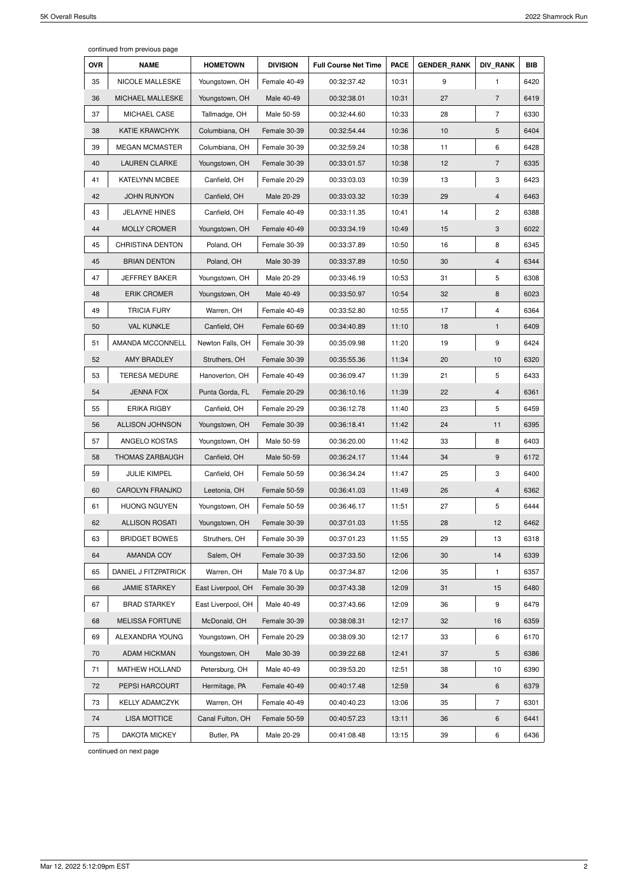continued from previous page

| <b>OVR</b> | <b>NAME</b>             | <b>HOMETOWN</b>    | <b>DIVISION</b> | <b>Full Course Net Time</b> | <b>PACE</b> | <b>GENDER RANK</b> | <b>DIV RANK</b> | <b>BIB</b> |
|------------|-------------------------|--------------------|-----------------|-----------------------------|-------------|--------------------|-----------------|------------|
| 35         | <b>NICOLE MALLESKE</b>  | Youngstown, OH     | Female 40-49    | 00:32:37.42                 | 10:31       | 9                  | $\mathbf{1}$    | 6420       |
| 36         | MICHAEL MALLESKE        | Youngstown, OH     | Male 40-49      | 00:32:38.01                 | 10:31       | 27                 | $\overline{7}$  | 6419       |
| 37         | MICHAEL CASE            | Tallmadge, OH      | Male 50-59      | 00:32:44.60                 | 10:33       | 28                 | $\overline{7}$  | 6330       |
| 38         | <b>KATIE KRAWCHYK</b>   | Columbiana, OH     | Female 30-39    | 00:32:54.44                 | 10:36       | 10                 | 5               | 6404       |
| 39         | <b>MEGAN MCMASTER</b>   | Columbiana, OH     | Female 30-39    | 00:32:59.24                 | 10:38       | 11                 | 6               | 6428       |
| 40         | <b>LAUREN CLARKE</b>    | Youngstown, OH     | Female 30-39    | 00:33:01.57                 | 10:38       | 12                 | $\overline{7}$  | 6335       |
| 41         | <b>KATELYNN MCBEE</b>   | Canfield, OH       | Female 20-29    | 00:33:03.03                 | 10:39       | 13                 | 3               | 6423       |
| 42         | <b>JOHN RUNYON</b>      | Canfield, OH       | Male 20-29      | 00:33:03.32                 | 10:39       | 29                 | $\overline{4}$  | 6463       |
| 43         | <b>JELAYNE HINES</b>    | Canfield, OH       | Female 40-49    | 00:33:11.35                 | 10:41       | 14                 | $\overline{2}$  | 6388       |
| 44         | <b>MOLLY CROMER</b>     | Youngstown, OH     | Female 40-49    | 00:33:34.19                 | 10:49       | 15                 | 3               | 6022       |
| 45         | <b>CHRISTINA DENTON</b> | Poland, OH         | Female 30-39    | 00:33:37.89                 | 10:50       | 16                 | 8               | 6345       |
| 45         | <b>BRIAN DENTON</b>     | Poland, OH         | Male 30-39      | 00:33:37.89                 | 10:50       | 30                 | 4               | 6344       |
| 47         | <b>JEFFREY BAKER</b>    | Youngstown, OH     | Male 20-29      | 00:33:46.19                 | 10:53       | 31                 | 5               | 6308       |
| 48         | <b>ERIK CROMER</b>      | Youngstown, OH     | Male 40-49      | 00:33:50.97                 | 10:54       | 32                 | 8               | 6023       |
| 49         | <b>TRICIA FURY</b>      | Warren, OH         | Female 40-49    | 00:33:52.80                 | 10:55       | 17                 | 4               | 6364       |
| 50         | <b>VAL KUNKLE</b>       | Canfield, OH       | Female 60-69    | 00:34:40.89                 | 11:10       | 18                 | $\mathbf{1}$    | 6409       |
| 51         | AMANDA MCCONNELL        | Newton Falls, OH   | Female 30-39    | 00:35:09.98                 | 11:20       | 19                 | 9               | 6424       |
| 52         | AMY BRADLEY             | Struthers, OH      | Female 30-39    | 00:35:55.36                 | 11:34       | 20                 | 10              | 6320       |
| 53         | <b>TERESA MEDURE</b>    | Hanoverton, OH     | Female 40-49    | 00:36:09.47                 | 11:39       | 21                 | 5               | 6433       |
| 54         | <b>JENNA FOX</b>        | Punta Gorda, FL    | Female 20-29    | 00:36:10.16                 | 11:39       | 22                 | 4               | 6361       |
| 55         | <b>ERIKA RIGBY</b>      | Canfield, OH       | Female 20-29    | 00:36:12.78                 | 11:40       | 23                 | 5               | 6459       |
| 56         | <b>ALLISON JOHNSON</b>  | Youngstown, OH     | Female 30-39    | 00:36:18.41                 | 11:42       | 24                 | 11              | 6395       |
| 57         | ANGELO KOSTAS           | Youngstown, OH     | Male 50-59      | 00:36:20.00                 | 11:42       | 33                 | 8               | 6403       |
| 58         | THOMAS ZARBAUGH         | Canfield, OH       | Male 50-59      | 00:36:24.17                 | 11:44       | 34                 | 9               | 6172       |
| 59         | <b>JULIE KIMPEL</b>     | Canfield, OH       | Female 50-59    | 00:36:34.24                 | 11:47       | 25                 | 3               | 6400       |
| 60         | <b>CAROLYN FRANJKO</b>  | Leetonia, OH       | Female 50-59    | 00:36:41.03                 | 11:49       | 26                 | $\overline{4}$  | 6362       |
| 61         | <b>HUONG NGUYEN</b>     | Youngstown, OH     | Female 50-59    | 00:36:46.17                 | 11:51       | 27                 | 5               | 6444       |
| 62         | <b>ALLISON ROSATI</b>   | Youngstown, OH     | Female 30-39    | 00:37:01.03                 | 11:55       | 28                 | 12              | 6462       |
| 63         | <b>BRIDGET BOWES</b>    | Struthers, OH      | Female 30-39    | 00:37:01.23                 | 11:55       | 29                 | 13              | 6318       |
| 64         | AMANDA COY              | Salem, OH          | Female 30-39    | 00:37:33.50                 | 12:06       | 30                 | 14              | 6339       |
| 65         | DANIEL J FITZPATRICK    | Warren, OH         | Male 70 & Up    | 00:37:34.87                 | 12:06       | 35                 | 1               | 6357       |
| 66         | <b>JAMIE STARKEY</b>    | East Liverpool, OH | Female 30-39    | 00:37:43.38                 | 12:09       | 31                 | 15              | 6480       |
| 67         | <b>BRAD STARKEY</b>     | East Liverpool, OH | Male 40-49      | 00:37:43.66                 | 12:09       | 36                 | 9               | 6479       |
| 68         | <b>MELISSA FORTUNE</b>  | McDonald, OH       | Female 30-39    | 00:38:08.31                 | 12:17       | 32                 | 16              | 6359       |
| 69         | ALEXANDRA YOUNG         | Youngstown, OH     | Female 20-29    | 00:38:09.30                 | 12:17       | 33                 | 6               | 6170       |
| 70         | <b>ADAM HICKMAN</b>     | Youngstown, OH     | Male 30-39      | 00:39:22.68                 | 12:41       | 37                 | 5               | 6386       |
| 71         | MATHEW HOLLAND          | Petersburg, OH     | Male 40-49      | 00:39:53.20                 | 12:51       | 38                 | 10              | 6390       |
| 72         | PEPSI HARCOURT          | Hermitage, PA      | Female 40-49    | 00:40:17.48                 | 12:59       | 34                 | 6               | 6379       |
| 73         | <b>KELLY ADAMCZYK</b>   | Warren, OH         | Female 40-49    | 00:40:40.23                 | 13:06       | 35                 | $\overline{7}$  | 6301       |
| 74         | <b>LISA MOTTICE</b>     | Canal Fulton, OH   | Female 50-59    | 00:40:57.23                 | 13:11       | 36                 | 6               | 6441       |
| 75         | <b>DAKOTA MICKEY</b>    | Butler, PA         | Male 20-29      | 00:41:08.48                 | 13:15       | 39                 | 6               | 6436       |

continued on next page